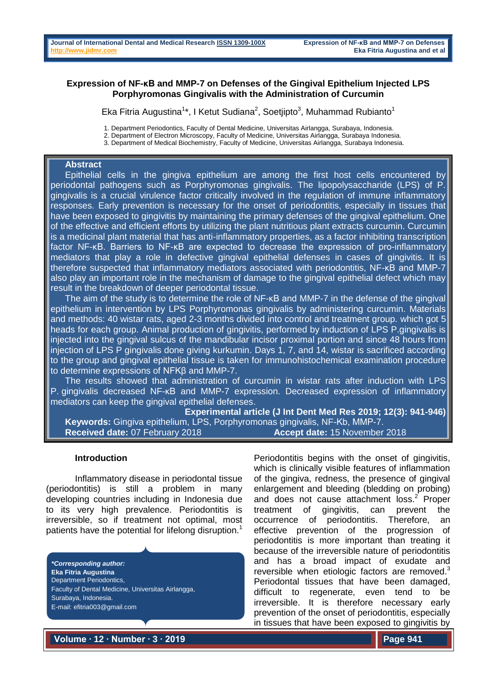# **Expression of NF-κB and MMP-7 on Defenses of the Gingival Epithelium Injected LPS Porphyromonas Gingivalis with the Administration of Curcumin**

Eka Fitria Augustina<sup>1\*</sup>, I Ketut Sudiana<sup>2</sup>, Soetjipto<sup>3</sup>, Muhammad Rubianto<sup>1</sup>

1. Department Periodontics, Faculty of Dental Medicine, Universitas Airlangga, Surabaya, Indonesia.

- 2. Department of Electron Microscopy, Faculty of Medicine, Universitas Airlangga, Surabaya Indonesia.
- 3. Department of Medical Biochemistry, Faculty of Medicine, Universitas Airlangga, Surabaya Indonesia.

#### **Abstract**

Epithelial cells in the gingiva epithelium are among the first host cells encountered by periodontal pathogens such as Porphyromonas gingivalis. The lipopolysaccharide (LPS) of P. gingivalis is a crucial virulence factor critically involved in the regulation of immune inflammatory responses. Early prevention is necessary for the onset of periodontitis, especially in tissues that have been exposed to gingivitis by maintaining the primary defenses of the gingival epithelium. One of the effective and efficient efforts by utilizing the plant nutritious plant extracts curcumin. Curcumin is a medicinal plant material that has anti-inflammatory properties, as a factor inhibiting transcription factor NF-κB. Barriers to NF-κB are expected to decrease the expression of pro-inflammatory mediators that play a role in defective gingival epithelial defenses in cases of gingivitis. It is therefore suspected that inflammatory mediators associated with periodontitis, NF-κB and MMP-7 also play an important role in the mechanism of damage to the gingival epithelial defect which may result in the breakdown of deeper periodontal tissue.

The aim of the study is to determine the role of NF-KB and MMP-7 in the defense of the gingival epithelium in intervention by LPS Porphyromonas gingivalis by administering curcumin. Materials and methods: 40 wistar rats, aged 2-3 months divided into control and treatment group. which got 5 heads for each group. Animal production of gingivitis, performed by induction of LPS P.gingivalis is injected into the gingival sulcus of the mandibular incisor proximal portion and since 48 hours from injection of LPS P gingivalis done giving kurkumin. Days 1, 7, and 14, wistar is sacrificed according to the group and gingival epithelial tissue is taken for immunohistochemical examination procedure to determine expressions of NFKβ and MMP-7.

The results showed that administration of curcumin in wistar rats after induction with LPS P. gingivalis decreased NF-KB and MMP-7 expression. Decreased expression of inflammatory mediators can keep the gingival epithelial defenses.

**Experimental article (J Int Dent Med Res 2019; 12(3): 941-946) Keywords:** Gingiva epithelium, LPS, Porphyromonas gingivalis, NF-Κb, MMP-7. **Received date:** 07 February 2018 **Accept date:** 15 November 2018

#### **Introduction**

Inflammatory disease in periodontal tissue (periodontitis) is still a problem in many developing countries including in Indonesia due to its very high prevalence. Periodontitis is irreversible, so if treatment not optimal, most patients have the potential for lifelong disruption.<sup>1</sup>

*\*Corresponding author:* **Eka Fitria Augustina** Department Periodontics, Faculty of Dental Medicine, Universitas Airlangga, Surabaya, Indonesia. E-mail: efitria003@gmail.com

Periodontitis begins with the onset of gingivitis, which is clinically visible features of inflammation of the gingiva, redness, the presence of gingival enlargement and bleeding (bledding on probing) and does not cause attachment loss. <sup>2</sup> Proper treatment of gingivitis, can prevent the occurrence of periodontitis. Therefore, an effective prevention of the progression of periodontitis is more important than treating it because of the irreversible nature of periodontitis and has a broad impact of exudate and reversible when etiologic factors are removed.<sup>3</sup> Periodontal tissues that have been damaged, difficult to regenerate, even tend to be irreversible. It is therefore necessary early prevention of the onset of periodontitis, especially in tissues that have been exposed to gingivitis by

**Volume ∙ 12 ∙ Number ∙ 3 ∙ 2019**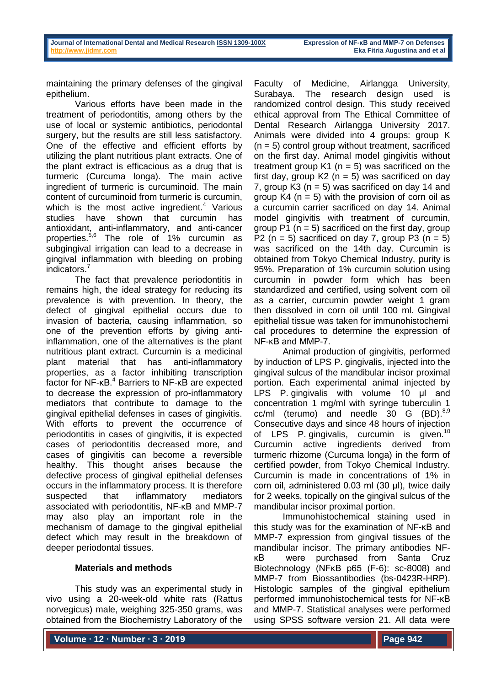maintaining the primary defenses of the gingival epithelium.

Various efforts have been made in the treatment of periodontitis, among others by the use of local or systemic antibiotics, periodontal surgery, but the results are still less satisfactory. One of the effective and efficient efforts by utilizing the plant nutritious plant extracts. One of the plant extract is efficacious as a drug that is turmeric (Curcuma longa). The main active ingredient of turmeric is curcuminoid. The main content of curcuminoid from turmeric is curcumin, which is the most active ingredient.<sup>4</sup> Various studies have shown that curcumin has antioxidant, anti-inflammatory, and anti-cancer properties. 5,6 The role of 1% curcumin as subgingival irrigation can lead to a decrease in gingival inflammation with bleeding on probing indicators. 7

The fact that prevalence periodontitis in remains high, the ideal strategy for reducing its prevalence is with prevention. In theory, the defect of gingival epithelial occurs due to invasion of bacteria, causing inflammation, so one of the prevention efforts by giving antiinflammation, one of the alternatives is the plant nutritious plant extract. Curcumin is a medicinal plant material that has anti-inflammatory properties, as a factor inhibiting transcription factor for NF-κB. <sup>4</sup> Barriers to NF-κB are expected to decrease the expression of pro-inflammatory mediators that contribute to damage to the gingival epithelial defenses in cases of gingivitis. With efforts to prevent the occurrence of periodontitis in cases of gingivitis, it is expected cases of periodontitis decreased more, and cases of gingivitis can become a reversible healthy. This thought arises because the defective process of gingival epithelial defenses occurs in the inflammatory process. It is therefore suspected that inflammatory mediators associated with periodontitis, NF-κB and MMP-7 may also play an important role in the mechanism of damage to the gingival epithelial defect which may result in the breakdown of deeper periodontal tissues.

# **Materials and methods**

This study was an experimental study in vivo using a 20-week-old white rats (Rattus norvegicus) male, weighing 325-350 grams, was obtained from the Biochemistry Laboratory of the

Faculty of Medicine, Airlangga University, Surabaya. The research design used is randomized control design. This study received ethical approval from The Ethical Committee of Dental Research Airlangga University 2017. Animals were divided into 4 groups: group K  $(n = 5)$  control group without treatment, sacrificed on the first day. Animal model gingivitis without treatment group  $K1$  (n = 5) was sacrificed on the first day, group  $K2$  (n = 5) was sacrificed on day 7, group K3 ( $n = 5$ ) was sacrificed on day 14 and group  $K4$  ( $n = 5$ ) with the provision of corn oil as a curcumin carrier sacrificed on day 14. Animal model gingivitis with treatment of curcumin, group  $P1$  (n = 5) sacrificed on the first day, group P2 ( $n = 5$ ) sacrificed on day 7, group P3 ( $n = 5$ ) was sacrificed on the 14th day. Curcumin is obtained from Tokyo Chemical Industry, purity is 95%. Preparation of 1% curcumin solution using curcumin in powder form which has been standardized and certified, using solvent corn oil as a carrier, curcumin powder weight 1 gram then dissolved in corn oil until 100 ml. Gingival epithelial tissue was taken for immunohistochemi cal procedures to determine the expression of NF-κB and MMP-7.

Animal production of gingivitis, performed by induction of LPS P. gingivalis, injected into the gingival sulcus of the mandibular incisor proximal portion. Each experimental animal injected by LPS P. gingivalis with volume 10 μl and concentration 1 mg/ml with syringe tuberculin 1 cc/ml (terumo) and needle 30 G  $(BD).<sup>8,9</sup>$ Consecutive days and since 48 hours of injection of LPS P. gingivalis, curcumin is given.<sup>10</sup> Curcumin active ingredients derived from turmeric rhizome (Curcuma longa) in the form of certified powder, from Tokyo Chemical Industry. Curcumin is made in concentrations of 1% in corn oil, administered 0.03 ml (30 μl), twice daily for 2 weeks, topically on the gingival sulcus of the mandibular incisor proximal portion.

Immunohistochemical staining used in this study was for the examination of NF-κB and MMP-7 expression from gingival tissues of the mandibular incisor. The primary antibodies NFκB were purchased from Santa Cruz Biotechnology (NFκB p65 (F-6): sc-8008) and MMP-7 from Biossantibodies (bs-0423R-HRP). Histologic samples of the gingival epithelium performed immunohistochemical tests for NF-κB and MMP-7. Statistical analyses were performed using SPSS software version 21. All data were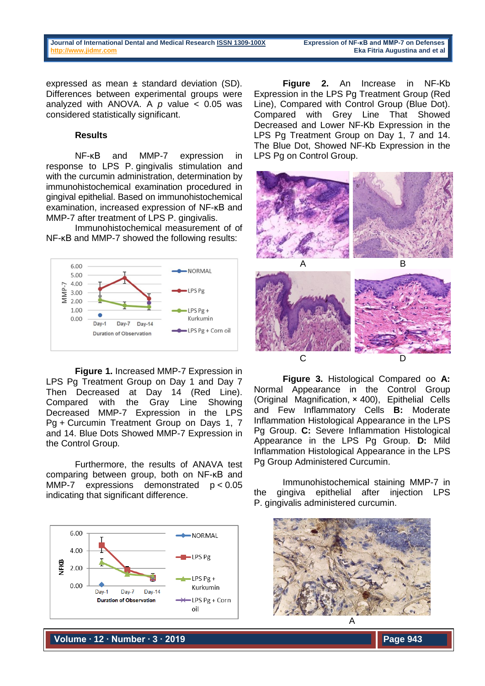expressed as mean ± standard deviation (SD). Differences between experimental groups were analyzed with ANOVA. A *p* value < 0.05 was considered statistically significant.

## **Results**

NF-κB and MMP-7 expression in response to LPS P. gingivalis stimulation and with the curcumin administration, determination by immunohistochemical examination procedured in gingival epithelial. Based on immunohistochemical examination, increased expression of NF-κB and MMP-7 after treatment of LPS P. gingivalis.

Immunohistochemical measurement of of NF-κB and MMP-7 showed the following results:



**Figure 1.** Increased MMP-7 Expression in LPS Pg Treatment Group on Day 1 and Day 7 Then Decreased at Day 14 (Red Line). Compared with the Gray Line Showing Decreased MMP-7 Expression in the LPS Pg + Curcumin Treatment Group on Days 1, 7 and 14. Blue Dots Showed MMP-7 Expression in the Control Group.

Furthermore, the results of ANAVA test comparing between group, both on NF-κB and MMP-7 expressions demonstrated  $p < 0.05$ indicating that significant difference.



**Figure 2.** An Increase in NF-Κb Expression in the LPS Pg Treatment Group (Red Line), Compared with Control Group (Blue Dot). Compared with Grey Line That Showed Decreased and Lower NF-Κb Expression in the LPS Pg Treatment Group on Day 1, 7 and 14. The Blue Dot, Showed NF-Κb Expression in the LPS Pg on Control Group.



**Figure 3.** Histological Compared oo **A:**  Normal Appearance in the Control Group (Original Magnification, × 400), Epithelial Cells and Few Inflammatory Cells **B:** Moderate Inflammation Histological Appearance in the LPS Pg Group. **C:** Severe Inflammation Histological Appearance in the LPS Pg Group. **D:** Mild Inflammation Histological Appearance in the LPS Pg Group Administered Curcumin.

Immunohistochemical staining MMP-7 in the gingiva epithelial after injection LPS P. gingivalis administered curcumin.



**Volume ∙ 12 ∙ Number ∙ 3 ∙ 2019**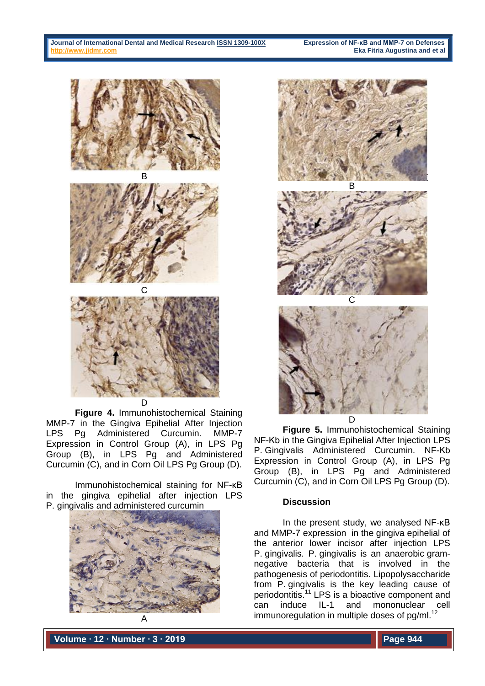





**Figure 4.** Immunohistochemical Staining MMP-7 in the Gingiva Epihelial After Injection LPS Pg Administered Curcumin. MMP-7 Expression in Control Group (A), in LPS Pg Group (B), in LPS Pg and Administered Curcumin (C), and in Corn Oil LPS Pg Group (D).

Immunohistochemical staining for NF-κB in the gingiva epihelial after injection LPS P. gingivalis and administered curcumin





**Figure 5.** Immunohistochemical Staining NF-Κb in the Gingiva Epihelial After Injection LPS P. Gingivalis Administered Curcumin. NF-Κb Expression in Control Group (A), in LPS Pg Group (B), in LPS Pg and Administered Curcumin (C), and in Corn Oil LPS Pg Group (D).

# **Discussion**

In the present study, we analysed NF-κB and MMP-7 expression in the gingiva epihelial of the anterior lower incisor after injection LPS P. gingivalis*.* P. gingivalis is an anaerobic gramnegative bacteria that is involved in the pathogenesis of periodontitis. Lipopolysaccharide from P. gingivalis is the key leading cause of periodontitis.<sup>11</sup> LPS is a bioactive component and can induce IL-1 and mononuclear cell immunoregulation in multiple doses of pg/ml.<sup>12</sup>

**Volume ∙ 12 ∙ Number ∙ 3 ∙ 2019**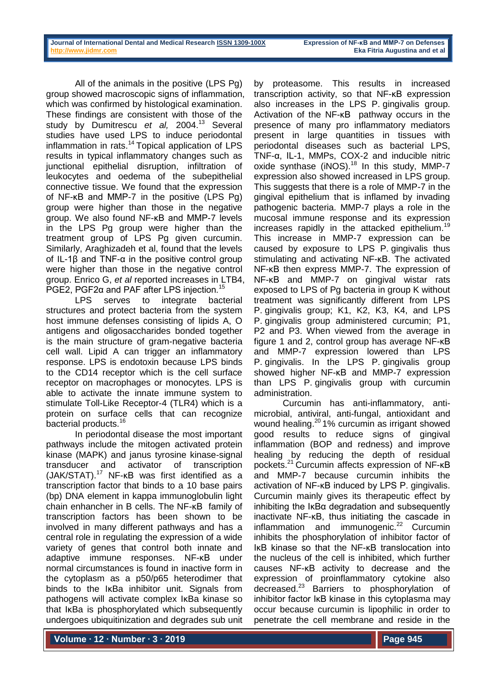All of the animals in the positive (LPS Pg) group showed macroscopic signs of inflammation, which was confirmed by histological examination. These findings are consistent with those of the study by Dumitrescu *et al,* 2004. <sup>13</sup> Several studies have used LPS to induce periodontal inflammation in rats.<sup>14</sup> Topical application of LPS results in typical inflammatory changes such as junctional epithelial disruption, infiltration of leukocytes and oedema of the subepithelial connective tissue. We found that the expression of NF-κB and MMP-7 in the positive (LPS Pg) group were higher than those in the negative group. We also found NF-κB and MMP-7 levels in the LPS Pg group were higher than the treatment group of LPS Pg given curcumin. Similarly, Araghizadeh et al, found that the levels of IL-1β and TNF-α in the positive control group were higher than those in the negative control group. Enrico G, *et al* reported increases in LTB4, PGE2, PGF2α and PAF after LPS injection.<sup>15</sup>

LPS serves to integrate bacterial structures and protect bacteria from the system host immune defenses consisting of lipids A, O antigens and oligosaccharides bonded together is the main structure of gram-negative bacteria cell wall. Lipid A can trigger an inflammatory response. LPS is endotoxin because LPS binds to the CD14 receptor which is the cell surface receptor on macrophages or monocytes. LPS is able to activate the innate immune system to stimulate Toll-Like Receptor-4 (TLR4) which is a protein on surface cells that can recognize bacterial products. 16

In periodontal disease the most important pathways include the mitogen activated protein kinase (MAPK) and janus tyrosine kinase-signal transducer and activator of transcription (JAK/STAT).<sup>17</sup> NF-κB was first identified as a transcription factor that binds to a 10 base pairs (bp) DNA element in kappa immunoglobulin light chain enhancher in B cells. The NF-κB family of transcription factors has been shown to be involved in many different pathways and has a central role in regulating the expression of a wide variety of genes that control both innate and adaptive immune responses. NF-κB under normal circumstances is found in inactive form in the cytoplasm as a p50/p65 heterodimer that binds to the IκBa inhibitor unit. Signals from pathogens will activate complex IκBa kinase so that IκBa is phosphorylated which subsequently undergoes ubiquitinization and degrades sub unit

by proteasome. This results in increased transcription activity, so that NF-κB expression also increases in the LPS P. gingivalis group. Activation of the NF-κB pathway occurs in the presence of many pro inflammatory mediators present in large quantities in tissues with periodontal diseases such as bacterial LPS, TNF-α, IL-1, MMPs, COX-2 and inducible nitric oxide synthase (iNOS). $18$  In this study, MMP-7 expression also showed increased in LPS group. This suggests that there is a role of MMP-7 in the gingival epithelium that is inflamed by invading pathogenic bacteria. MMP-7 plays a role in the mucosal immune response and its expression increases rapidly in the attacked epithelium.<sup>19</sup> This increase in MMP-7 expression can be caused by exposure to LPS P. gingivalis thus stimulating and activating NF-κB. The activated NF-κB then express MMP-7. The expression of NF-κB and MMP-7 on gingival wistar rats exposed to LPS of Pg bacteria in group K without treatment was significantly different from LPS P. gingivalis group; K1, K2, K3, K4, and LPS P. gingivalis group administered curcumin; P1, P2 and P3. When viewed from the average in figure 1 and 2, control group has average NF-κB and MMP-7 expression lowered than LPS P. gingivalis. In the LPS P. gingivalis group showed higher NF-κB and MMP-7 expression than LPS P. gingivalis group with curcumin administration.

Curcumin has anti-inflammatory, antimicrobial, antiviral, anti-fungal, antioxidant and wound healing.<sup>20</sup> 1% curcumin as irrigant showed good results to reduce signs of gingival inflammation (BOP and redness) and improve healing by reducing the depth of residual pockets. <sup>21</sup> Curcumin affects expression of NF-κB and MMP-7 because curcumin inhibits the activation of NF-κB induced by LPS P. gingivalis. Curcumin mainly gives its therapeutic effect by inhibiting the IκBα degradation and subsequently inactivate NF-κB, thus initiating the cascade in inflammation and immunogenic. <sup>22</sup> Curcumin inhibits the phosphorylation of inhibitor factor of IκB kinase so that the NF-κB translocation into the nucleus of the cell is inhibited, which further causes NF-κB activity to decrease and the expression of proinflammatory cytokine also decreased. <sup>23</sup> Barriers to phosphorylation of inhibitor factor IκB kinase in this cytoplasma may occur because curcumin is lipophilic in order to penetrate the cell membrane and reside in the

**Volume ∙ 12 ∙ Number ∙ 3 ∙ 2019**